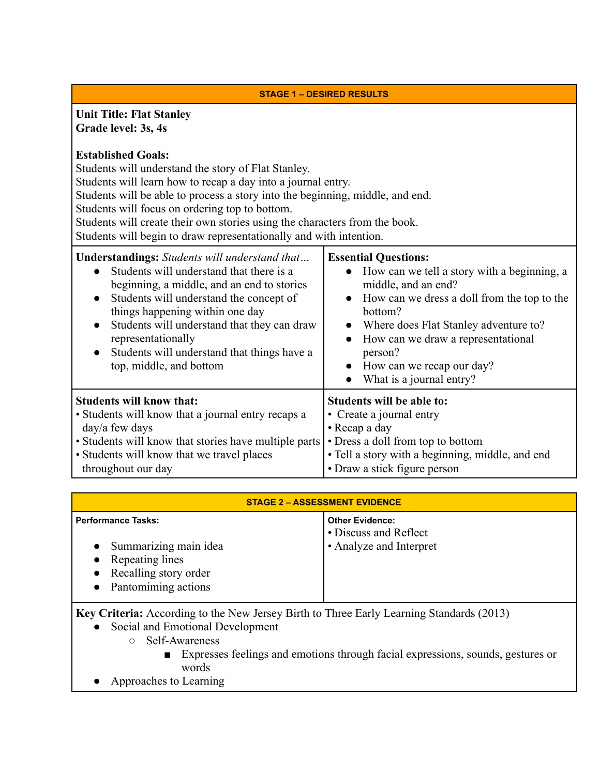### **STAGE 1 – DESIRED RESULTS**

### **Unit Title: Flat Stanley Grade level: 3s, 4s**

### **Established Goals:**

Students will understand the story of Flat Stanley.

Students will learn how to recap a day into a journal entry.

Students will be able to process a story into the beginning, middle, and end.

Students will focus on ordering top to bottom.

Students will create their own stories using the characters from the book.

Students will begin to draw representationally and with intention.

| <b>Understandings:</b> Students will understand that<br>• Students will understand that there is a<br>beginning, a middle, and an end to stories<br>Students will understand the concept of<br>$\bullet$<br>things happening within one day<br>Students will understand that they can draw<br>$\bullet$<br>representationally<br>Students will understand that things have a<br>$\bullet$<br>top, middle, and bottom | <b>Essential Questions:</b><br>• How can we tell a story with a beginning, a<br>middle, and an end?<br>• How can we dress a doll from the top to the<br>bottom?<br>Where does Flat Stanley adventure to?<br>How can we draw a representational<br>person?<br>• How can we recap our day?<br>What is a journal entry? |
|----------------------------------------------------------------------------------------------------------------------------------------------------------------------------------------------------------------------------------------------------------------------------------------------------------------------------------------------------------------------------------------------------------------------|----------------------------------------------------------------------------------------------------------------------------------------------------------------------------------------------------------------------------------------------------------------------------------------------------------------------|
| <b>Students will know that:</b>                                                                                                                                                                                                                                                                                                                                                                                      | Students will be able to:                                                                                                                                                                                                                                                                                            |
| • Students will know that a journal entry recaps a                                                                                                                                                                                                                                                                                                                                                                   | • Create a journal entry                                                                                                                                                                                                                                                                                             |
| day/a few days                                                                                                                                                                                                                                                                                                                                                                                                       | • Recap a day                                                                                                                                                                                                                                                                                                        |
| • Students will know that stories have multiple parts                                                                                                                                                                                                                                                                                                                                                                | • Dress a doll from top to bottom                                                                                                                                                                                                                                                                                    |
| • Students will know that we travel places                                                                                                                                                                                                                                                                                                                                                                           | · Tell a story with a beginning, middle, and end                                                                                                                                                                                                                                                                     |
| throughout our day                                                                                                                                                                                                                                                                                                                                                                                                   | • Draw a stick figure person                                                                                                                                                                                                                                                                                         |

| <b>STAGE 2 - ASSESSMENT EVIDENCE</b>                                                                                        |                                                                            |
|-----------------------------------------------------------------------------------------------------------------------------|----------------------------------------------------------------------------|
| <b>Performance Tasks:</b><br>Summarizing main idea<br>• Repeating lines<br>• Recalling story order<br>• Pantomiming actions | <b>Other Evidence:</b><br>• Discuss and Reflect<br>• Analyze and Interpret |

**Key Criteria:** According to the New Jersey Birth to Three Early Learning Standards (2013)

- Social and Emotional Development
	- Self-Awareness
		- Expresses feelings and emotions through facial expressions, sounds, gestures or words
- Approaches to Learning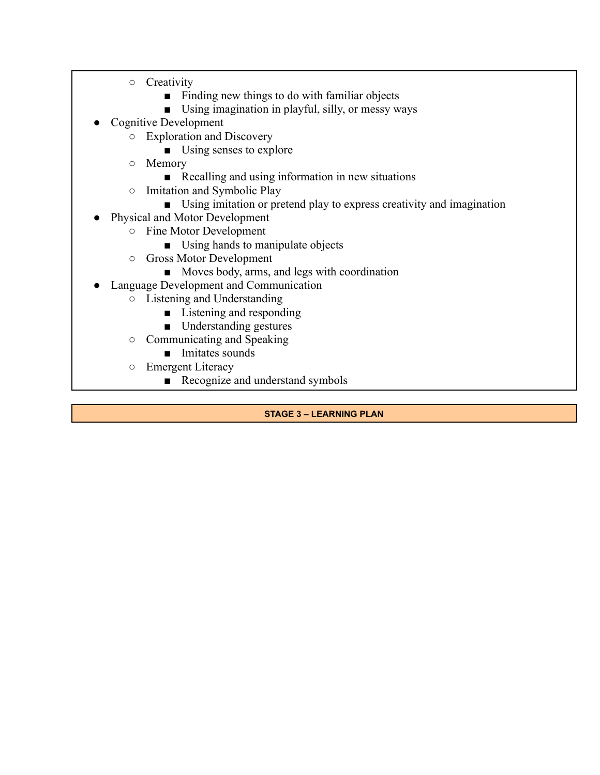- Creativity
	- Finding new things to do with familiar objects
	- Using imagination in playful, silly, or messy ways
- Cognitive Development
	- Exploration and Discovery
		- Using senses to explore
	- Memory
		- Recalling and using information in new situations
	- Imitation and Symbolic Play
		- Using imitation or pretend play to express creativity and imagination
- Physical and Motor Development
	- Fine Motor Development
		- Using hands to manipulate objects
	- Gross Motor Development
		- Moves body, arms, and legs with coordination
	- Language Development and Communication
		- Listening and Understanding
			- Listening and responding
			- Understanding gestures
		- Communicating and Speaking
			- Imitates sounds
		- Emergent Literacy
			- Recognize and understand symbols

**STAGE 3 – LEARNING PLAN**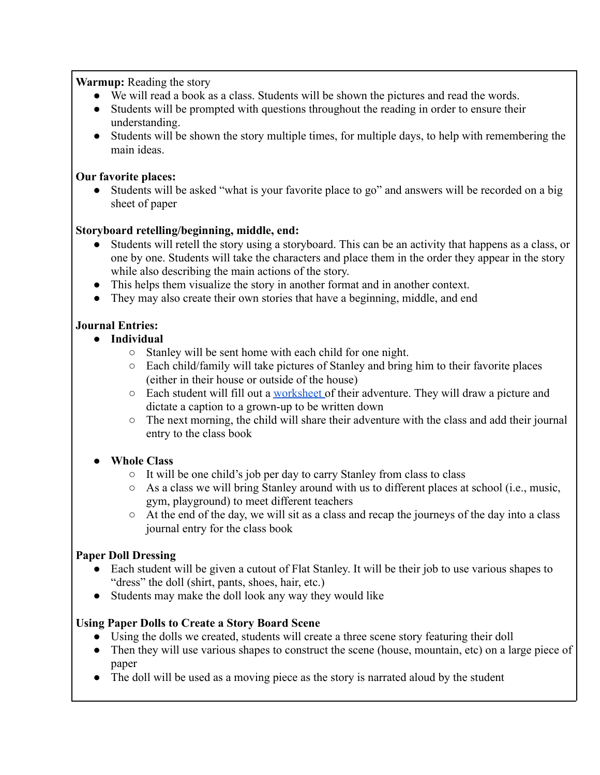## **Warmup:** Reading the story

- We will read a book as a class. Students will be shown the pictures and read the words.
- Students will be prompted with questions throughout the reading in order to ensure their understanding.
- Students will be shown the story multiple times, for multiple days, to help with remembering the main ideas.

## **Our favorite places:**

• Students will be asked "what is your favorite place to go" and answers will be recorded on a big sheet of paper

# **Storyboard retelling/beginning, middle, end:**

- Students will retell the story using a storyboard. This can be an activity that happens as a class, or one by one. Students will take the characters and place them in the order they appear in the story while also describing the main actions of the story.
- This helps them visualize the story in another format and in another context.
- They may also create their own stories that have a beginning, middle, and end

# **Journal Entries:**

- **● Individual**
	- Stanley will be sent home with each child for one night.
	- Each child/family will take pictures of Stanley and bring him to their favorite places (either in their house or outside of the house)
	- Each student will fill out a [worksheet](https://docs.google.com/document/u/0/d/1vg67Hqt9frBri1_vIvftGIBGFea2YY8JrrXq9E9Bmkc/edit) of their adventure. They will draw a picture and dictate a caption to a grown-up to be written down
	- The next morning, the child will share their adventure with the class and add their journal entry to the class book

# **● Whole Class**

- It will be one child's job per day to carry Stanley from class to class
- As a class we will bring Stanley around with us to different places at school (i.e., music, gym, playground) to meet different teachers
- At the end of the day, we will sit as a class and recap the journeys of the day into a class journal entry for the class book

## **Paper Doll Dressing**

- Each student will be given a cutout of Flat Stanley. It will be their job to use various shapes to "dress" the doll (shirt, pants, shoes, hair, etc.)
- Students may make the doll look any way they would like

## **Using Paper Dolls to Create a Story Board Scene**

- Using the dolls we created, students will create a three scene story featuring their doll
- Then they will use various shapes to construct the scene (house, mountain, etc) on a large piece of paper
- The doll will be used as a moving piece as the story is narrated aloud by the student